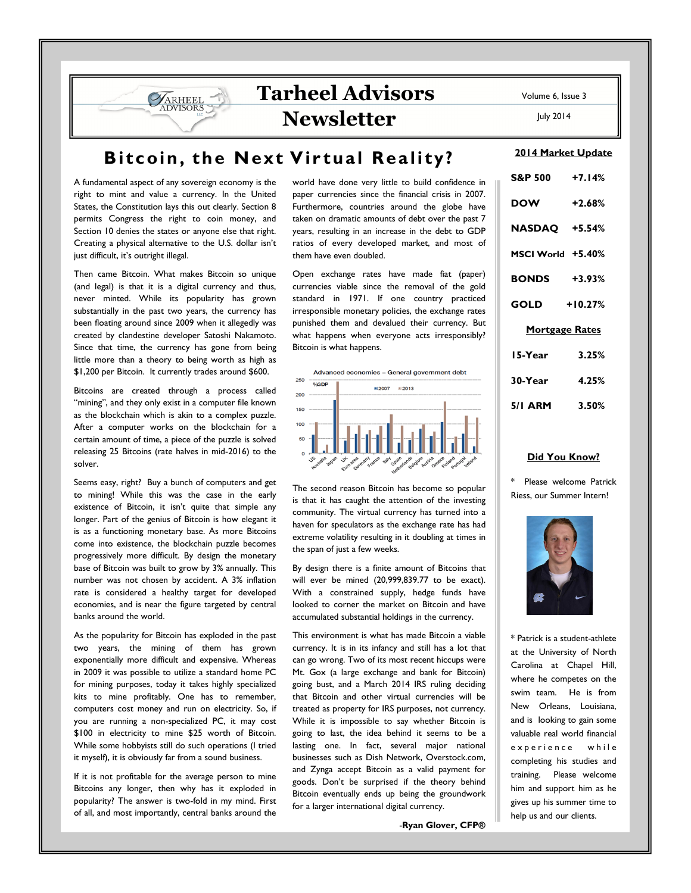## Tarheel Advisors **Newsletter**

July 2014

## Bitcoin, the Next Virtual Reality?

A fundamental aspect of any sovereign economy is the right to mint and value a currency. In the United States, the Constitution lays this out clearly. Section 8 permits Congress the right to coin money, and Section 10 denies the states or anyone else that right. Creating a physical alternative to the U.S. dollar isn't just difficult, it's outright illegal.

**VARHEEL DVISORS** 

Then came Bitcoin. What makes Bitcoin so unique (and legal) is that it is a digital currency and thus, never minted. While its popularity has grown substantially in the past two years, the currency has been floating around since 2009 when it allegedly was created by clandestine developer Satoshi Nakamoto. Since that time, the currency has gone from being little more than a theory to being worth as high as \$1,200 per Bitcoin. It currently trades around \$600.

Bitcoins are created through a process called "mining", and they only exist in a computer file known as the blockchain which is akin to a complex puzzle. After a computer works on the blockchain for a certain amount of time, a piece of the puzzle is solved releasing 25 Bitcoins (rate halves in mid-2016) to the solver.

Seems easy, right? Buy a bunch of computers and get to mining! While this was the case in the early existence of Bitcoin, it isn't quite that simple any longer. Part of the genius of Bitcoin is how elegant it is as a functioning monetary base. As more Bitcoins come into existence, the blockchain puzzle becomes progressively more difficult. By design the monetary base of Bitcoin was built to grow by 3% annually. This number was not chosen by accident. A 3% inflation rate is considered a healthy target for developed economies, and is near the figure targeted by central banks around the world.

As the popularity for Bitcoin has exploded in the past two years, the mining of them has grown exponentially more difficult and expensive. Whereas in 2009 it was possible to utilize a standard home PC for mining purposes, today it takes highly specialized kits to mine profitably. One has to remember, computers cost money and run on electricity. So, if you are running a non-specialized PC, it may cost \$100 in electricity to mine \$25 worth of Bitcoin. While some hobbyists still do such operations (I tried it myself), it is obviously far from a sound business.

If it is not profitable for the average person to mine Bitcoins any longer, then why has it exploded in popularity? The answer is two-fold in my mind. First of all, and most importantly, central banks around the world have done very little to build confidence in paper currencies since the financial crisis in 2007. Furthermore, countries around the globe have taken on dramatic amounts of debt over the past 7 years, resulting in an increase in the debt to GDP ratios of every developed market, and most of them have even doubled.

Open exchange rates have made fiat (paper) currencies viable since the removal of the gold standard in 1971. If one country practiced irresponsible monetary policies, the exchange rates punished them and devalued their currency. But what happens when everyone acts irresponsibly? Bitcoin is what happens.



The second reason Bitcoin has become so popular is that it has caught the attention of the investing community. The virtual currency has turned into a haven for speculators as the exchange rate has had extreme volatility resulting in it doubling at times in the span of just a few weeks.

By design there is a finite amount of Bitcoins that will ever be mined (20,999,839.77 to be exact). With a constrained supply, hedge funds have looked to corner the market on Bitcoin and have accumulated substantial holdings in the currency.

This environment is what has made Bitcoin a viable currency. It is in its infancy and still has a lot that can go wrong. Two of its most recent hiccups were Mt. Gox (a large exchange and bank for Bitcoin) going bust, and a March 2014 IRS ruling deciding that Bitcoin and other virtual currencies will be treated as property for IRS purposes, not currency. While it is impossible to say whether Bitcoin is going to last, the idea behind it seems to be a lasting one. In fact, several major national businesses such as Dish Network, Overstock.com, and Zynga accept Bitcoin as a valid payment for goods. Don't be surprised if the theory behind Bitcoin eventually ends up being the groundwork for a larger international digital currency.

-Ryan Glover, CFP®

| 2014 Market Update    |  |
|-----------------------|--|
| S&P 500 +7.14%        |  |
| $+2.68%$              |  |
| NASDAQ +5.54%         |  |
| MSCI World +5.40%     |  |
| <b>BONDS</b> +3.93%   |  |
| $GOLD$ +10.27%        |  |
| <b>Mortgage Rates</b> |  |
| 15-Year<br>3.25%      |  |
| $30-Year$ 4.25%       |  |
| $5/1$ ARM $3.50\%$    |  |
|                       |  |

## Did You Know?

\* Please welcome Patrick Riess, our Summer Intern!



\* Patrick is a student-athlete at the University of North Carolina at Chapel Hill, where he competes on the swim team. He is from New Orleans, Louisiana, and is looking to gain some valuable real world financial experience while completing his studies and training. Please welcome him and support him as he gives up his summer time to help us and our clients.